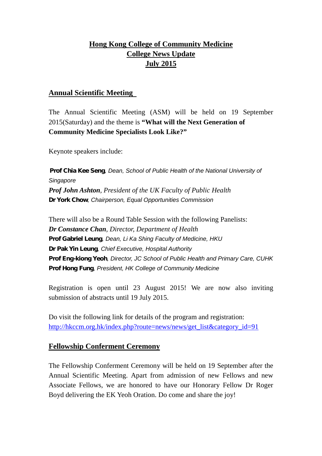## **Hong Kong College of Community Medicine College News Update July 2015**

#### **Annual Scientific Meeting**

The Annual Scientific Meeting (ASM) will be held on 19 September 2015(Saturday) and the theme is **"What will the Next Generation of Community Medicine Specialists Look Like?"**

Keynote speakers include:

*Prof Chia Kee Seng, Dean, School of Public Health of the National University of Singapore Prof John Ashton, President of the UK Faculty of Public Health Dr York Chow, Chairperson, Equal Opportunities Commission*

There will also be a Round Table Session with the following Panelists: *Dr Constance Chan, Director, Department of Health Prof Gabriel Leung, Dean, Li Ka Shing Faculty of Medicine, HKU Dr Pak Yin Leung, Chief Executive, Hospital Authority Prof Eng-kiong Yeoh, Director, JC School of Public Health and Primary Care, CUHK Prof Hong Fung, President, HK College of Community Medicine*

Registration is open until 23 August 2015! We are now also inviting submission of abstracts until 19 July 2015.

Do visit the following link for details of the program and registration: http://hkccm.org.hk/index.php?route=news/news/get\_list&category\_id=91

#### **Fellowship Conferment Ceremony**

The Fellowship Conferment Ceremony will be held on 19 September after the Annual Scientific Meeting. Apart from admission of new Fellows and new Associate Fellows, we are honored to have our Honorary Fellow Dr Roger Boyd delivering the EK Yeoh Oration. Do come and share the joy!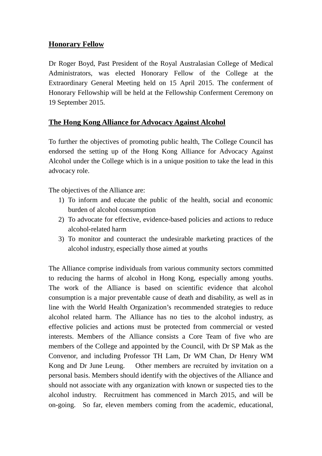### **Honorary Fellow**

Dr Roger Boyd, Past President of the Royal Australasian College of Medical Administrators, was elected Honorary Fellow of the College at the Extraordinary General Meeting held on 15 April 2015. The conferment of Honorary Fellowship will be held at the Fellowship Conferment Ceremony on 19 September 2015.

### **The Hong Kong Alliance for Advocacy Against Alcohol**

To further the objectives of promoting public health, The College Council has endorsed the setting up of the Hong Kong Alliance for Advocacy Against Alcohol under the College which is in a unique position to take the lead in this advocacy role.

The objectives of the Alliance are:

- 1) To inform and educate the public of the health, social and economic burden of alcohol consumption
- 2) To advocate for effective, evidence-based policies and actions to reduce alcohol-related harm
- 3) To monitor and counteract the undesirable marketing practices of the alcohol industry, especially those aimed at youths

The Alliance comprise individuals from various community sectors committed to reducing the harms of alcohol in Hong Kong, especially among youths. The work of the Alliance is based on scientific evidence that alcohol consumption is a major preventable cause of death and disability, as well as in line with the World Health Organization's recommended strategies to reduce alcohol related harm. The Alliance has no ties to the alcohol industry, as effective policies and actions must be protected from commercial or vested interests. Members of the Alliance consists a Core Team of five who are members of the College and appointed by the Council, with Dr SP Mak as the Convenor, and including Professor TH Lam, Dr WM Chan, Dr Henry WM Kong and Dr June Leung. Other members are recruited by invitation on a personal basis. Members should identify with the objectives of the Alliance and should not associate with any organization with known or suspected ties to the alcohol industry. Recruitment has commenced in March 2015, and will be on-going. So far, eleven members coming from the academic, educational,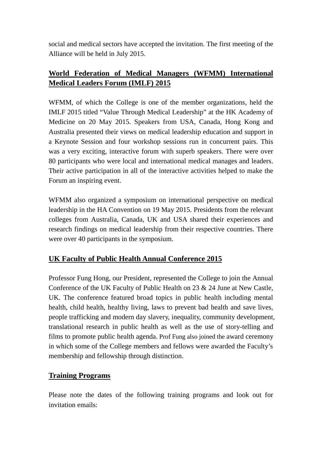social and medical sectors have accepted the invitation. The first meeting of the Alliance will be held in July 2015.

# **World Federation of Medical Managers (WFMM) International Medical Leaders Forum (IMLF) 2015**

WFMM, of which the College is one of the member organizations, held the IMLF 2015 titled "Value Through Medical Leadership" at the HK Academy of Medicine on 20 May 2015. Speakers from USA, Canada, Hong Kong and Australia presented their views on medical leadership education and support in a Keynote Session and four workshop sessions run in concurrent pairs. This was a very exciting, interactive forum with superb speakers. There were over 80 participants who were local and international medical manages and leaders. Their active participation in all of the interactive activities helped to make the Forum an inspiring event.

WFMM also organized a symposium on international perspective on medical leadership in the HA Convention on 19 May 2015. Presidents from the relevant colleges from Australia, Canada, UK and USA shared their experiences and research findings on medical leadership from their respective countries. There were over 40 participants in the symposium.

# **UK Faculty of Public Health Annual Conference 2015**

Professor Fung Hong, our President, represented the College to join the Annual Conference of the UK Faculty of Public Health on 23 & 24 June at New Castle, UK. The conference featured broad topics in public health including mental health, child health, healthy living, laws to prevent bad health and save lives, people trafficking and modern day slavery, inequality, community development, translational research in public health as well as the use of story-telling and films to promote public health agenda. Prof Fung also joined the award ceremony in which some of the College members and fellows were awarded the Faculty's membership and fellowship through distinction.

## **Training Programs**

Please note the dates of the following training programs and look out for invitation emails: